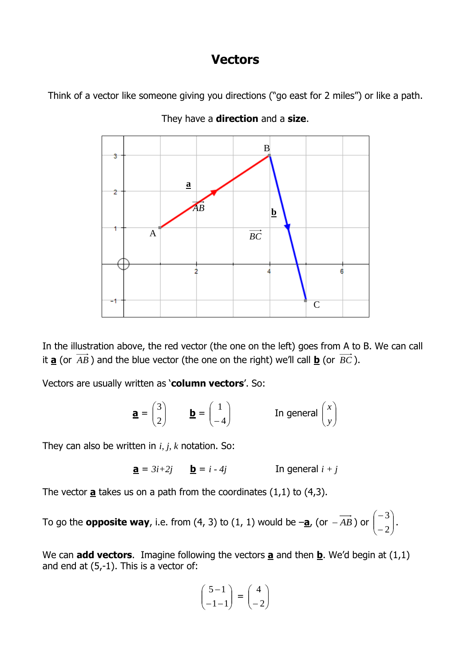# **Vectors**

Think of a vector like someone giving you directions ("go east for 2 miles") or like a path.



They have a **direction** and a **size**.

In the illustration above, the red vector (the one on the left) goes from A to B. We can call it **a** (or *AB* ) and the blue vector (the one on the right) we'll call **b** (or *BC* ).

Vectors are usually written as '**column vectors**'. So:

$$
\mathbf{a} = \begin{pmatrix} 3 \\ 2 \end{pmatrix} \qquad \mathbf{b} = \begin{pmatrix} 1 \\ -4 \end{pmatrix} \qquad \qquad \text{In general } \begin{pmatrix} x \\ y \end{pmatrix}
$$

They can also be written in *i, j, k* notation. So:

$$
\underline{\mathbf{a}} = 3i + 2j \qquad \underline{\mathbf{b}} = i - 4j \qquad \text{In general } i + j
$$

The vector  $\underline{\mathbf{a}}$  takes us on a path from the coordinates  $(1,1)$  to  $(4,3)$ .

To go the **opposite way**, i.e. from (4, 3) to (1, 1) would be –**a**, (or <sup>−</sup> *AB* ) or  $\int$  $\backslash$  $\overline{\phantom{a}}$ l ſ − − 2  $\left.\frac{3}{\cdot}\right\}$ .

We can **add vectors**. Imagine following the vectors  $\mathbf{a}$  and then  $\mathbf{b}$ . We'd begin at (1,1) and end at (5,-1). This is a vector of:

$$
\begin{pmatrix} 5-1 \\ -1-1 \end{pmatrix} = \begin{pmatrix} 4 \\ -2 \end{pmatrix}
$$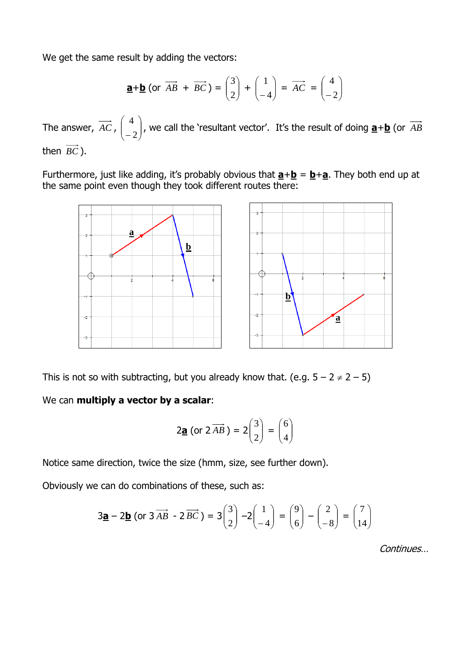We get the same result by adding the vectors:

$$
\underline{\mathbf{a}} + \underline{\mathbf{b}} \text{ (or } \overrightarrow{AB} + \overrightarrow{BC}) = \begin{pmatrix} 3 \\ 2 \end{pmatrix} + \begin{pmatrix} 1 \\ -4 \end{pmatrix} = \overrightarrow{AC} = \begin{pmatrix} 4 \\ -2 \end{pmatrix}
$$

The answer, *AC* , J  $\backslash$  $\overline{\phantom{a}}$ J ſ − 2  $\left( \frac{4}{\epsilon} \right)$ , we call the 'resultant vector'. It's the result of doing  $\underline{\mathbf{a}} + \underline{\mathbf{b}}$  (or  $\overrightarrow{AB}$ then *BC* ).

Furthermore, just like adding, it's probably obvious that  $\mathbf{a} + \mathbf{b} = \mathbf{b} + \mathbf{a}$ . They both end up at the same point even though they took different routes there:



This is not so with subtracting, but you already know that. (e.g.  $5 - 2 \neq 2 - 5$ )

We can **multiply a vector by a scalar**:

$$
2\underline{\mathbf{a}}\text{ (or }2\overrightarrow{AB})=2\begin{pmatrix}3\\2\end{pmatrix}=\begin{pmatrix}6\\4\end{pmatrix}
$$

Notice same direction, twice the size (hmm, size, see further down).

Obviously we can do combinations of these, such as:

$$
3\underline{\mathbf{a}} - 2\underline{\mathbf{b}} \text{ (or } 3 \overrightarrow{AB} - 2\overrightarrow{BC}) = 3\begin{pmatrix} 3 \\ 2 \end{pmatrix} - 2\begin{pmatrix} 1 \\ -4 \end{pmatrix} = \begin{pmatrix} 9 \\ 6 \end{pmatrix} - \begin{pmatrix} 2 \\ -8 \end{pmatrix} = \begin{pmatrix} 7 \\ 14 \end{pmatrix}
$$

Continues…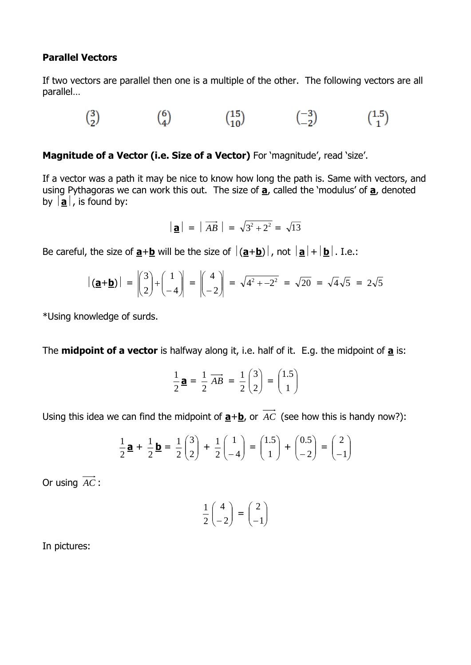#### **Parallel Vectors**

If two vectors are parallel then one is a multiple of the other. The following vectors are all parallel…

 $\binom{3}{2} \qquad \qquad \binom{6}{4} \qquad \qquad \binom{15}{10} \qquad \qquad \binom{-3}{-2} \qquad \qquad \binom{1.5}{1}$ 

**Magnitude of a Vector (i.e. Size of a Vector)** For 'magnitude', read 'size'.

If a vector was a path it may be nice to know how long the path is. Same with vectors, and using Pythagoras we can work this out. The size of **a**, called the 'modulus' of **a**, denoted by  $|\mathbf{a}|$ , is found by:

$$
|\mathbf{a}| = |\overrightarrow{AB}| = \sqrt{3^2 + 2^2} = \sqrt{13}
$$

Be careful, the size of  $\underline{\mathbf{a}} + \underline{\mathbf{b}}$  will be the size of  $|(\underline{\mathbf{a}} + \underline{\mathbf{b}})|$ , not  $|\underline{\mathbf{a}}| + |\underline{\mathbf{b}}|$ . I.e.:

$$
\left| \left( \underline{\mathbf{a}} + \underline{\mathbf{b}} \right) \right| = \begin{pmatrix} 3 \\ 2 \end{pmatrix} + \begin{pmatrix} 1 \\ -4 \end{pmatrix} = \begin{pmatrix} 4 \\ -2 \end{pmatrix} = \sqrt{4^2 + 2^2} = \sqrt{20} = \sqrt{4} \sqrt{5} = 2\sqrt{5}
$$

\*Using knowledge of surds.

The **midpoint of a vector** is halfway along it, i.e. half of it. E.g. the midpoint of **a** is:

$$
\frac{1}{2}\mathbf{a} = \frac{1}{2}\overrightarrow{AB} = \frac{1}{2}\begin{pmatrix}3\\2\end{pmatrix} = \begin{pmatrix}1.5\\1\end{pmatrix}
$$

Using this idea we can find the midpoint of  $\underline{a} + \underline{b}$ , or AC (see how this is handy now?):

$$
\frac{1}{2}\mathbf{a} + \frac{1}{2}\mathbf{b} = \frac{1}{2}\begin{pmatrix} 3\\2 \end{pmatrix} + \frac{1}{2}\begin{pmatrix} 1\\-4 \end{pmatrix} = \begin{pmatrix} 1.5\\1 \end{pmatrix} + \begin{pmatrix} 0.5\\-2 \end{pmatrix} = \begin{pmatrix} 2\\-1 \end{pmatrix}
$$

Or using *AC* :

$$
\frac{1}{2}\begin{pmatrix} 4\\-2 \end{pmatrix} = \begin{pmatrix} 2\\-1 \end{pmatrix}
$$

In pictures: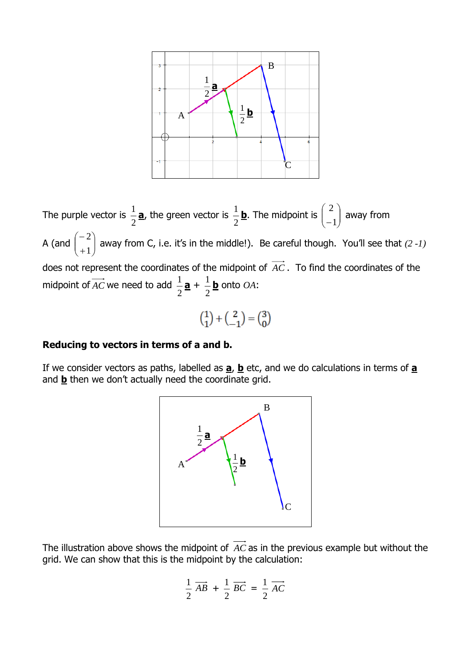

2 ſ  $\setminus$  $\frac{1}{2}$  **a**, the green vector is  $\frac{1}{2}$  $\frac{1}{2}$  **b**. The midpoint is  $\begin{pmatrix} 2 \ -1 \end{pmatrix}$ The purple vector is  $\frac{1}{2}$  $\overline{\phantom{a}}$ away from −1  $\overline{\mathcal{L}}$  $\bigg)$ ſ  $\backslash$  $\binom{2}{1}$  away from C, i.e. it's in the middle!). Be careful though. You'll see that  $(2\,1)$ −  $\overline{\phantom{a}}$ A (and J 1 J + does not represent the coordinates of the midpoint of *AC* . To find the coordinates of the  $\frac{1}{2}$ **a** +  $\frac{1}{2}$  $\frac{1}{\tau}$  <u>b</u> onto  $OA$ : midpoint of AC we need to add  $\frac{1}{2}$  $\binom{1}{1} + \binom{2}{-1} = \binom{3}{0}$ 

#### **Reducing to vectors in terms of a and b.**

If we consider vectors as paths, labelled as **a**, **b** etc, and we do calculations in terms of **a** and **b** then we don't actually need the coordinate grid.



The illustration above shows the midpoint of *AC* as in the previous example but without the grid. We can show that this is the midpoint by the calculation:

$$
\frac{1}{2}\overrightarrow{AB} + \frac{1}{2}\overrightarrow{BC} = \frac{1}{2}\overrightarrow{AC}
$$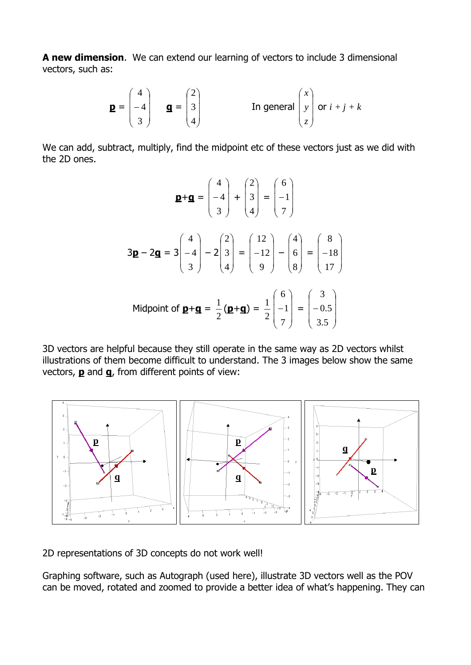**A new dimension**.We can extend our learning of vectors to include 3 dimensional vectors, such as:

$$
\mathbf{p} = \begin{pmatrix} 4 \\ -4 \\ 3 \end{pmatrix} \quad \mathbf{q} = \begin{pmatrix} 2 \\ 3 \\ 4 \end{pmatrix} \quad \text{In general } \begin{pmatrix} x \\ y \\ z \end{pmatrix} \text{ or } i + j + k
$$

We can add, subtract, multiply, find the midpoint etc of these vectors just as we did with the 2D ones.

$$
\mathbf{p} + \mathbf{g} = \begin{pmatrix} 4 \\ -4 \\ 3 \end{pmatrix} + \begin{pmatrix} 2 \\ 3 \\ 4 \end{pmatrix} = \begin{pmatrix} 6 \\ -1 \\ 7 \end{pmatrix}
$$
  
3 $\mathbf{p} - 2\mathbf{g} = 3 \begin{pmatrix} 4 \\ -4 \\ 3 \end{pmatrix} - 2 \begin{pmatrix} 2 \\ 3 \\ 4 \end{pmatrix} = \begin{pmatrix} 12 \\ -12 \\ 9 \end{pmatrix} - \begin{pmatrix} 4 \\ 6 \\ 8 \end{pmatrix} = \begin{pmatrix} 8 \\ -18 \\ 17 \end{pmatrix}$   
Midpoint of  $\mathbf{p} + \mathbf{g} = \frac{1}{2} (\mathbf{p} + \mathbf{g}) = \frac{1}{2} \begin{pmatrix} 6 \\ -1 \\ 7 \end{pmatrix} = \begin{pmatrix} 3 \\ -0.5 \\ 3.5 \end{pmatrix}$ 

3D vectors are helpful because they still operate in the same way as 2D vectors whilst illustrations of them become difficult to understand. The 3 images below show the same vectors, **p** and **q**, from different points of view:



2D representations of 3D concepts do not work well!

Graphing software, such as Autograph (used here), illustrate 3D vectors well as the POV can be moved, rotated and zoomed to provide a better idea of what's happening. They can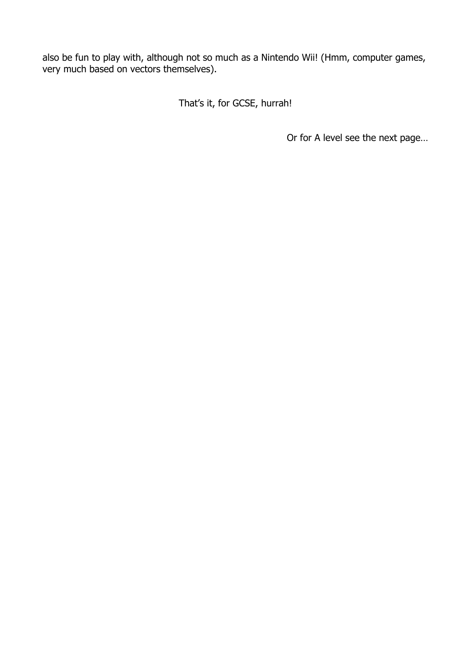also be fun to play with, although not so much as a Nintendo Wii! (Hmm, computer games, very much based on vectors themselves).

That's it, for GCSE, hurrah!

Or for A level see the next page…